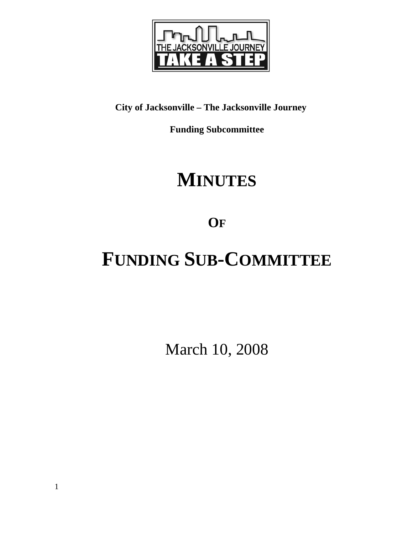

## **City of Jacksonville – The Jacksonville Journey**

**Funding Subcommittee** 

## **MINUTES**

**OF**

# **FUNDING SUB-COMMITTEE**

March 10, 2008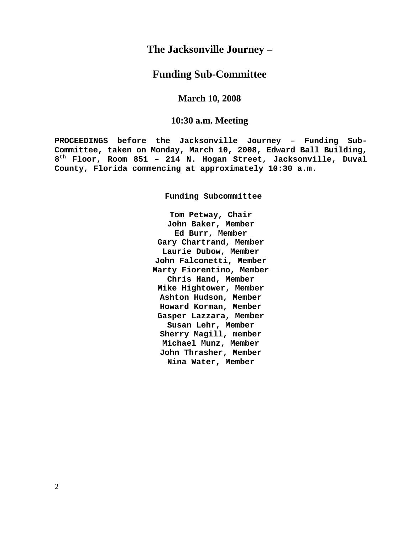## **The Jacksonville Journey –**

## **Funding Sub-Committee**

## **March 10, 2008**

## **10:30 a.m. Meeting**

**PROCEEDINGS before the Jacksonville Journey – Funding Sub-Committee, taken on Monday, March 10, 2008, Edward Ball Building, 8th Floor, Room 851 – 214 N. Hogan Street, Jacksonville, Duval County, Florida commencing at approximately 10:30 a.m.** 

**Funding Subcommittee** 

**Tom Petway, Chair John Baker, Member Ed Burr, Member Gary Chartrand, Member Laurie Dubow, Member John Falconetti, Member Marty Fiorentino, Member Chris Hand, Member Mike Hightower, Member Ashton Hudson, Member Howard Korman, Member Gasper Lazzara, Member Susan Lehr, Member Sherry Magill, member Michael Munz, Member John Thrasher, Member Nina Water, Member**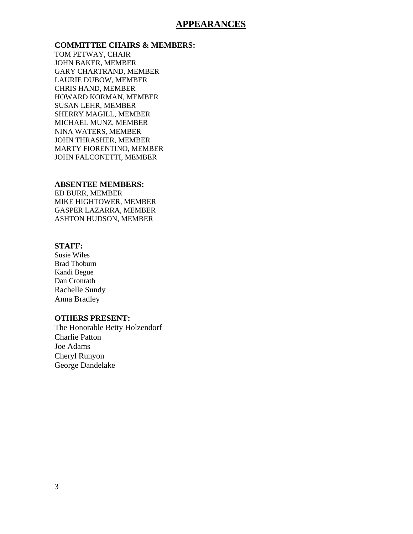## **APPEARANCES**

### **COMMITTEE CHAIRS & MEMBERS:**

TOM PETWAY, CHAIR JOHN BAKER, MEMBER GARY CHARTRAND, MEMBER LAURIE DUBOW, MEMBER CHRIS HAND, MEMBER HOWARD KORMAN, MEMBER SUSAN LEHR, MEMBER SHERRY MAGILL, MEMBER MICHAEL MUNZ, MEMBER NINA WATERS, MEMBER JOHN THRASHER, MEMBER MARTY FIORENTINO, MEMBER JOHN FALCONETTI, MEMBER

#### **ABSENTEE MEMBERS:**

ED BURR, MEMBER MIKE HIGHTOWER, MEMBER GASPER LAZARRA, MEMBER ASHTON HUDSON, MEMBER

### **STAFF:**

Susie Wiles Brad Thoburn Kandi Begue Dan Cronrath Rachelle Sundy Anna Bradley

#### **OTHERS PRESENT:**

The Honorable Betty Holzendorf Charlie Patton Joe Adams Cheryl Runyon George Dandelake